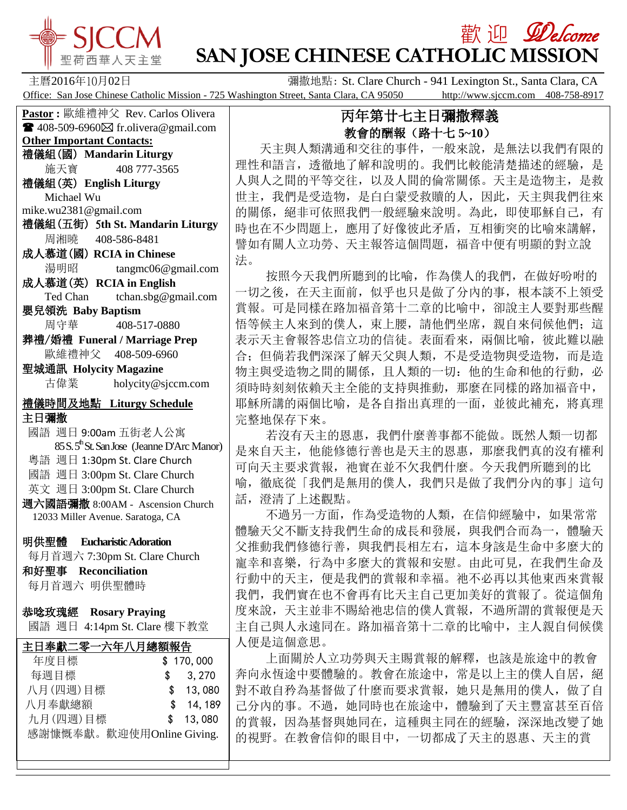

# **歡迎** *Welcome* **SAN JOSE CHINESE CATHOLIC MISSION**

主曆2016年10月02日 彌撒地點: St. Clare Church - 941 Lexington St., Santa Clara, CA Office: San Jose Chinese Catholic Mission - 725 Washington Street, Santa Clara, CA 95050 http://www.sjccm.com 408-758-8917

**Pastor :** 歐維禮神父 Rev. Carlos Olivera  $\blacksquare$  408-509-6960 $\boxtimes$  fr.olivera@gmail.com **Other Important Contacts:** 禮儀組(國) **Mandarin Liturgy** 施天寶 408 777-3565 禮儀組(英) **English Liturgy** Michael Wu mike.wu2381@gmail.com 禮儀組(五街) 5**th St. Mandarin Liturgy** 周湘曉 408-586-8481 成人慕道(國) **RCIA in Chinese** 湯明昭 tangmc06@gmail.com 成人慕道(英) **RCIA in English** Ted Chan tchan.sbg@gmail.com 嬰兒領洗 **Baby Baptism** 周守華 408-517-0880 葬禮/婚禮 **Funeral / Marriage Prep** 歐維禮神父 408-509-6960 聖城通訊 **Holycity Magazine** 古偉業 [holycity@sjccm.com](mailto:holycity@sjccm.com) 禮儀時間及地點 **Liturgy Schedule** 主日彌撒 國語 週日 9:00am 五街老人公寓 85 S. 5<sup>th</sup> St. San Jose (Jeanne D'Arc Manor) 粵語 週日 1:30pm St. Clare Church 國語 週日 3:00pm St. Clare Church 英文 週日 3:00pm St. Clare Church 週六國語彌撒 8:00AM - Ascension Church 12033 Miller Avenue. Saratoga, CA 明供聖體 **Eucharistic Adoration** 每月首週六 7:30pm St. Clare Church 和好聖事 **Reconciliation** 每月首週六 明供聖體時 恭唸玫瑰經 **Rosary Praying** 國語 週日 4:14pm St. Clare 樓下教堂l 主日奉獻二零一六年八月總額報告 年度目標 \$ 170,000 每週目標 \$ 3,270 八月(四週)目標 \$ 13,080 八月奉獻總額 \$ 14,189 九月(四週)目標 \$ 13,080

感謝慷慨奉獻。歡迎使用Online Giving.

## 丙年第廿七主日彌撒釋義 教會的酬報(路十七 **5~10**)

 天主與人類溝通和交往的事件,一般來說,是無法以我們有限的 理性和語言,透徹地了解和說明的。我們比較能清楚描述的經驗,是 人與人之間的平等交往,以及人間的倫常關係。天主是造物主,是救 世主,我們是受造物,是白白蒙受救贖的人,因此,天主與我們往來 的關係,絕非可依照我們一般經驗來說明。為此,即使耶穌自己,有 時也在不少問題上,應用了好像彼此矛盾,互相衝突的比喻來講解, 譬如有關人立功勞、天主報答這個問題,福音中便有明顯的對立說 法。

 按照今天我們所聽到的比喻,作為僕人的我們,在做好吩咐的 一切之後,在天主面前,似乎也只是做了分內的事,根本談不上領受 賞報。可是同樣在路加福音第十二章的比喻中,卻說主人要對那些醒 悟等候主人來到的僕人,束上腰,請他們坐席,親自來伺候他們;這 表示天主會報答忠信立功的信徒。表面看來,兩個比喻,彼此難以融 合;但倘若我們深深了解天父與人類,不是受造物與受造物,而是造 物主與受造物之間的關係,且人類的一切:他的生命和他的行動,必 須時時刻刻依賴天主全能的支持與推動,那麼在同樣的路加福音中, 耶穌所講的兩個比喻,是各自指出真理的一面,並彼此補充,將真理 完整地保存下來。

 若沒有天主的恩惠,我們什麼善事都不能做。既然人類一切都 是來自天主,他能修德行善也是天主的恩惠,那麼我們真的沒有權利 可向天主要求賞報,祂實在並不欠我們什麼。今天我們所聽到的比 喻,徹底從「我們是無用的僕人,我們只是做了我們分內的事」這句 話,澄清了上述觀點。

 不過另一方面,作為受造物的人類,在信仰經驗中,如果常常 體驗天父不斷支持我們生命的成長和發展,與我們合而為一,體驗天 父推動我們修德行善,與我們長相左右,這本身該是生命中多麼大的 寵幸和喜樂,行為中多麼大的賞報和安慰。由此可見,在我們生命及 行動中的天主,便是我們的賞報和幸福。祂不必再以其他東西來賞報 我們,我們實在也不會再有比天主自己更加美好的賞報了。從這個角 度來說,天主並非不賜給祂忠信的僕人賞報,不過所謂的賞報便是天 主自己與人永遠同在。路加福音第十二章的比喻中,主人親自伺候僕 人便是這個意思。

 上面關於人立功勞與天主賜賞報的解釋,也該是旅途中的教會 奔向永恆途中要體驗的。教會在旅途中,常是以上主的僕人自居,絕 對不敢自矜為基督做了什麼而要求賞報,她只是無用的僕人,做了自 己分內的事。不過,她同時也在旅途中,體驗到了天主豐富甚至百倍 的賞報,因為基督與她同在,這種與主同在的經驗,深深地改變了她 的視野。在教會信仰的眼目中,一切都成了天主的恩惠、天主的賞